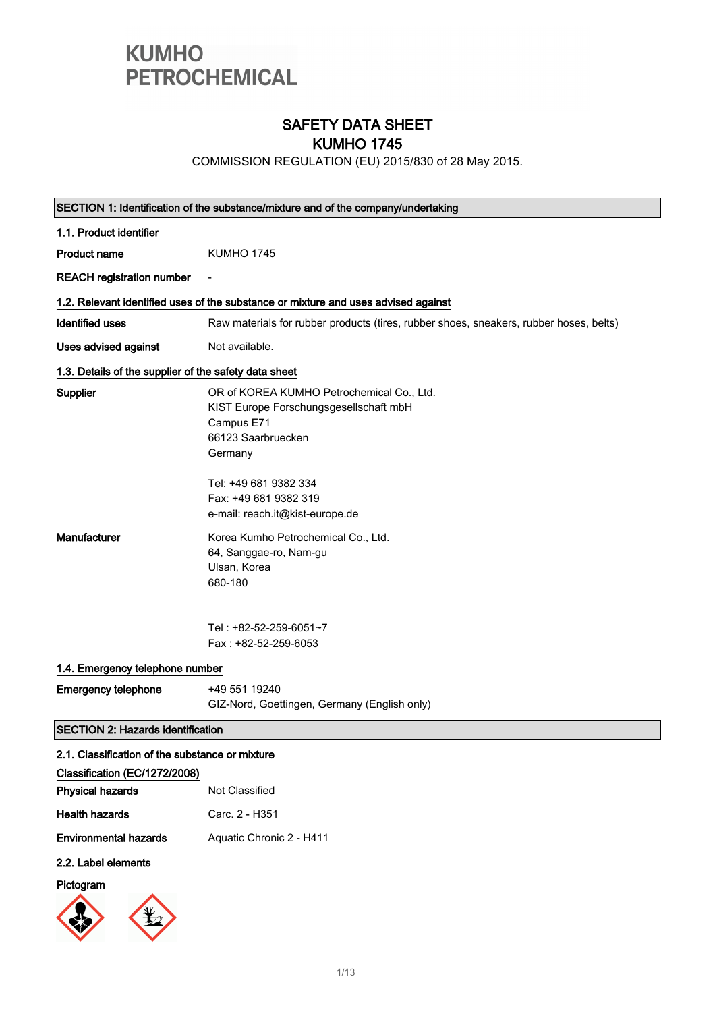

### SAFETY DATA SHEET KUMHO 1745

COMMISSION REGULATION (EU) 2015/830 of 28 May 2015.

|                                                       | SECTION 1: Identification of the substance/mixture and of the company/undertaking                                                  |
|-------------------------------------------------------|------------------------------------------------------------------------------------------------------------------------------------|
| 1.1. Product identifier                               |                                                                                                                                    |
| <b>Product name</b>                                   | <b>KUMHO 1745</b>                                                                                                                  |
| <b>REACH registration number</b>                      |                                                                                                                                    |
|                                                       | 1.2. Relevant identified uses of the substance or mixture and uses advised against                                                 |
| <b>Identified uses</b>                                | Raw materials for rubber products (tires, rubber shoes, sneakers, rubber hoses, belts)                                             |
| Uses advised against                                  | Not available.                                                                                                                     |
| 1.3. Details of the supplier of the safety data sheet |                                                                                                                                    |
| Supplier                                              | OR of KOREA KUMHO Petrochemical Co., Ltd.<br>KIST Europe Forschungsgesellschaft mbH<br>Campus E71<br>66123 Saarbruecken<br>Germany |
|                                                       | Tel: +49 681 9382 334<br>Fax: +49 681 9382 319<br>e-mail: reach.it@kist-europe.de                                                  |
| <b>Manufacturer</b>                                   | Korea Kumho Petrochemical Co., Ltd.<br>64, Sanggae-ro, Nam-gu<br>Ulsan, Korea<br>680-180                                           |
|                                                       | Tel: +82-52-259-6051~7<br>Fax: +82-52-259-6053                                                                                     |
| 1.4. Emergency telephone number                       |                                                                                                                                    |
| <b>Emergency telephone</b>                            | +49 551 19240<br>GIZ-Nord, Goettingen, Germany (English only)                                                                      |
| <b>SECTION 2: Hazards identification</b>              |                                                                                                                                    |
| 2.1. Classification of the substance or mixture       |                                                                                                                                    |
| Classification (EC/1272/2008)                         |                                                                                                                                    |
| <b>Physical hazards</b>                               | Not Classified                                                                                                                     |
| <b>Health hazards</b>                                 | Carc. 2 - H351                                                                                                                     |
| <b>Environmental hazards</b>                          | Aquatic Chronic 2 - H411                                                                                                           |
| 2.2. Label elements                                   |                                                                                                                                    |

### Pictogram

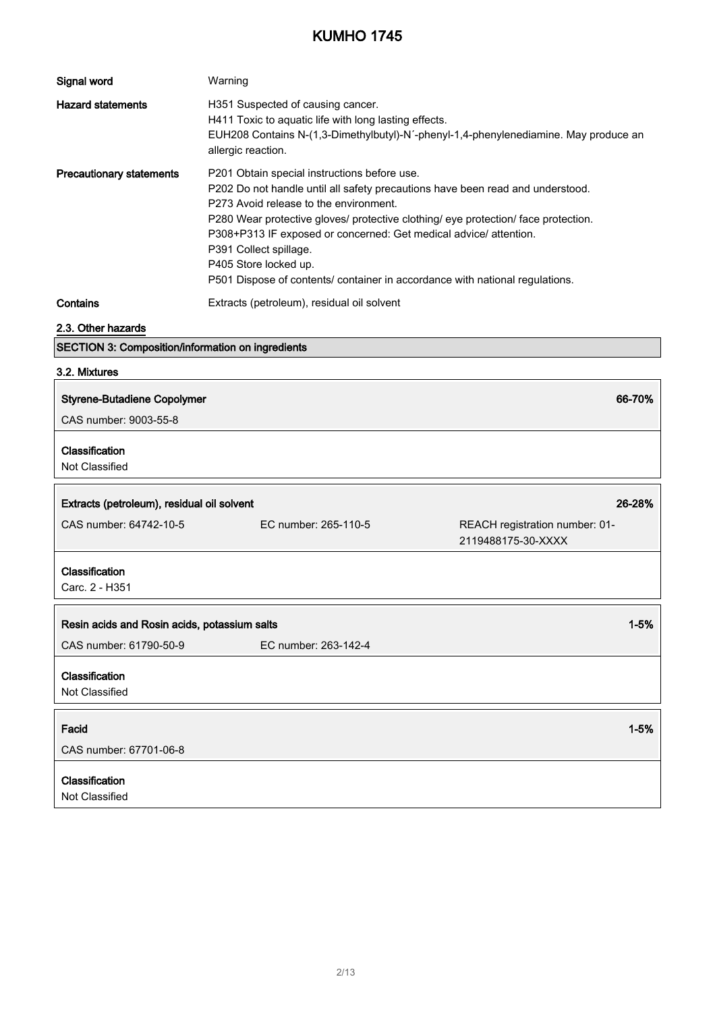| Signal word                                          | Warning                                                                                                                                                                                                                                                                                                                                                                                                                                                                |                                                                                      |
|------------------------------------------------------|------------------------------------------------------------------------------------------------------------------------------------------------------------------------------------------------------------------------------------------------------------------------------------------------------------------------------------------------------------------------------------------------------------------------------------------------------------------------|--------------------------------------------------------------------------------------|
| <b>Hazard statements</b>                             | H351 Suspected of causing cancer.<br>H411 Toxic to aquatic life with long lasting effects.<br>allergic reaction.                                                                                                                                                                                                                                                                                                                                                       | EUH208 Contains N-(1,3-Dimethylbutyl)-N'-phenyl-1,4-phenylenediamine. May produce an |
| <b>Precautionary statements</b>                      | P201 Obtain special instructions before use.<br>P202 Do not handle until all safety precautions have been read and understood.<br>P273 Avoid release to the environment.<br>P280 Wear protective gloves/ protective clothing/ eye protection/ face protection.<br>P308+P313 IF exposed or concerned: Get medical advice/ attention.<br>P391 Collect spillage.<br>P405 Store locked up.<br>P501 Dispose of contents/ container in accordance with national regulations. |                                                                                      |
| Contains                                             | Extracts (petroleum), residual oil solvent                                                                                                                                                                                                                                                                                                                                                                                                                             |                                                                                      |
| 2.3. Other hazards                                   |                                                                                                                                                                                                                                                                                                                                                                                                                                                                        |                                                                                      |
| SECTION 3: Composition/information on ingredients    |                                                                                                                                                                                                                                                                                                                                                                                                                                                                        |                                                                                      |
| 3.2. Mixtures                                        |                                                                                                                                                                                                                                                                                                                                                                                                                                                                        |                                                                                      |
| <b>Styrene-Butadiene Copolymer</b>                   |                                                                                                                                                                                                                                                                                                                                                                                                                                                                        | 66-70%                                                                               |
| CAS number: 9003-55-8                                |                                                                                                                                                                                                                                                                                                                                                                                                                                                                        |                                                                                      |
| Classification<br>Not Classified                     |                                                                                                                                                                                                                                                                                                                                                                                                                                                                        |                                                                                      |
| 26-28%<br>Extracts (petroleum), residual oil solvent |                                                                                                                                                                                                                                                                                                                                                                                                                                                                        |                                                                                      |
| CAS number: 64742-10-5                               | EC number: 265-110-5                                                                                                                                                                                                                                                                                                                                                                                                                                                   | REACH registration number: 01-<br>2119488175-30-XXXX                                 |
| Classification<br>Carc. 2 - H351                     |                                                                                                                                                                                                                                                                                                                                                                                                                                                                        |                                                                                      |
| Resin acids and Rosin acids, potassium salts         |                                                                                                                                                                                                                                                                                                                                                                                                                                                                        | $1 - 5%$                                                                             |
| CAS number: 61790-50-9                               | EC number: 263-142-4                                                                                                                                                                                                                                                                                                                                                                                                                                                   |                                                                                      |
| Classification<br>Not Classified                     |                                                                                                                                                                                                                                                                                                                                                                                                                                                                        |                                                                                      |
| Facid<br>CAS number: 67701-06-8                      |                                                                                                                                                                                                                                                                                                                                                                                                                                                                        | $1 - 5%$                                                                             |
| Classification<br>Not Classified                     |                                                                                                                                                                                                                                                                                                                                                                                                                                                                        |                                                                                      |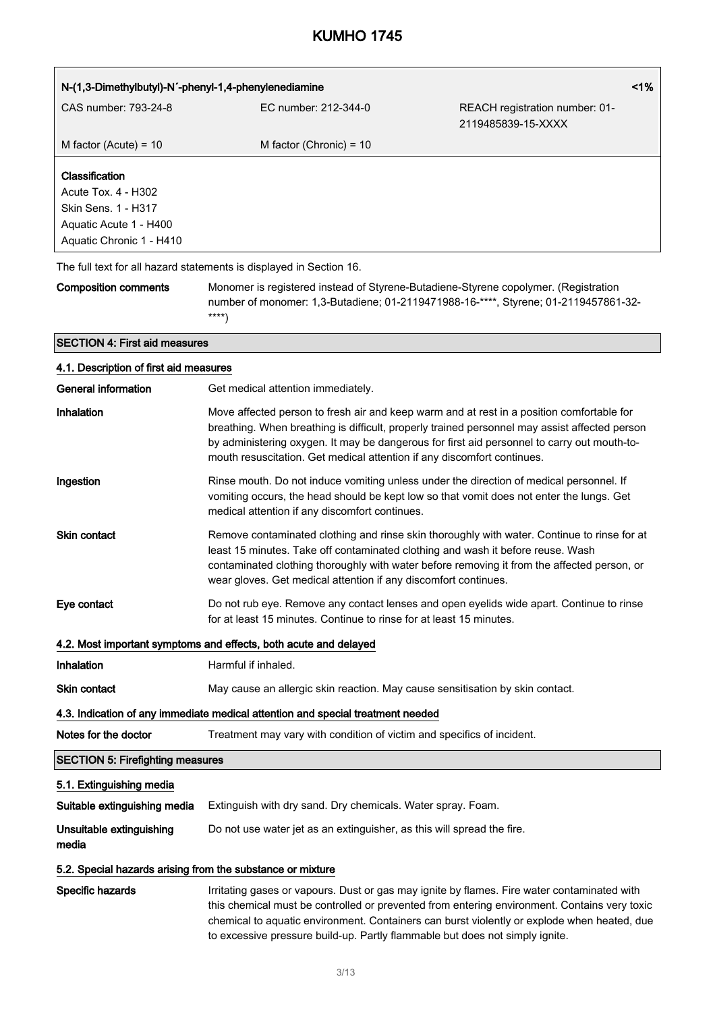| 1%<br>N-(1,3-Dimethylbutyl)-N'-phenyl-1,4-phenylenediamine                                                         |                                                                                                                                                                                                                                                                                                                                                                      |                                                      |
|--------------------------------------------------------------------------------------------------------------------|----------------------------------------------------------------------------------------------------------------------------------------------------------------------------------------------------------------------------------------------------------------------------------------------------------------------------------------------------------------------|------------------------------------------------------|
| CAS number: 793-24-8                                                                                               | EC number: 212-344-0                                                                                                                                                                                                                                                                                                                                                 | REACH registration number: 01-<br>2119485839-15-XXXX |
| M factor (Acute) = $10$                                                                                            | M factor (Chronic) = $10$                                                                                                                                                                                                                                                                                                                                            |                                                      |
| Classification<br>Acute Tox. 4 - H302<br>Skin Sens. 1 - H317<br>Aquatic Acute 1 - H400<br>Aquatic Chronic 1 - H410 |                                                                                                                                                                                                                                                                                                                                                                      |                                                      |
| The full text for all hazard statements is displayed in Section 16.                                                |                                                                                                                                                                                                                                                                                                                                                                      |                                                      |
| <b>Composition comments</b>                                                                                        | Monomer is registered instead of Styrene-Butadiene-Styrene copolymer. (Registration<br>number of monomer: 1,3-Butadiene; 01-2119471988-16-****, Styrene; 01-2119457861-32-<br>$***$                                                                                                                                                                                  |                                                      |
| <b>SECTION 4: First aid measures</b>                                                                               |                                                                                                                                                                                                                                                                                                                                                                      |                                                      |
| 4.1. Description of first aid measures                                                                             |                                                                                                                                                                                                                                                                                                                                                                      |                                                      |
| <b>General information</b>                                                                                         | Get medical attention immediately.                                                                                                                                                                                                                                                                                                                                   |                                                      |
| Inhalation                                                                                                         | Move affected person to fresh air and keep warm and at rest in a position comfortable for<br>breathing. When breathing is difficult, properly trained personnel may assist affected person<br>by administering oxygen. It may be dangerous for first aid personnel to carry out mouth-to-<br>mouth resuscitation. Get medical attention if any discomfort continues. |                                                      |
| Ingestion                                                                                                          | Rinse mouth. Do not induce vomiting unless under the direction of medical personnel. If<br>vomiting occurs, the head should be kept low so that vomit does not enter the lungs. Get<br>medical attention if any discomfort continues.                                                                                                                                |                                                      |
| Skin contact                                                                                                       | Remove contaminated clothing and rinse skin thoroughly with water. Continue to rinse for at<br>least 15 minutes. Take off contaminated clothing and wash it before reuse. Wash<br>contaminated clothing thoroughly with water before removing it from the affected person, or<br>wear gloves. Get medical attention if any discomfort continues.                     |                                                      |
| Eye contact                                                                                                        | Do not rub eye. Remove any contact lenses and open eyelids wide apart. Continue to rinse<br>for at least 15 minutes. Continue to rinse for at least 15 minutes.                                                                                                                                                                                                      |                                                      |
|                                                                                                                    | 4.2. Most important symptoms and effects, both acute and delayed                                                                                                                                                                                                                                                                                                     |                                                      |
| Inhalation                                                                                                         | Harmful if inhaled.                                                                                                                                                                                                                                                                                                                                                  |                                                      |
| Skin contact                                                                                                       | May cause an allergic skin reaction. May cause sensitisation by skin contact.                                                                                                                                                                                                                                                                                        |                                                      |
|                                                                                                                    | 4.3. Indication of any immediate medical attention and special treatment needed                                                                                                                                                                                                                                                                                      |                                                      |
| Notes for the doctor                                                                                               | Treatment may vary with condition of victim and specifics of incident.                                                                                                                                                                                                                                                                                               |                                                      |
| <b>SECTION 5: Firefighting measures</b>                                                                            |                                                                                                                                                                                                                                                                                                                                                                      |                                                      |
| 5.1. Extinguishing media                                                                                           |                                                                                                                                                                                                                                                                                                                                                                      |                                                      |
| Suitable extinguishing media                                                                                       | Extinguish with dry sand. Dry chemicals. Water spray. Foam.                                                                                                                                                                                                                                                                                                          |                                                      |
| Unsuitable extinguishing<br>media                                                                                  | Do not use water jet as an extinguisher, as this will spread the fire.                                                                                                                                                                                                                                                                                               |                                                      |
| 5.2. Special hazards arising from the substance or mixture                                                         |                                                                                                                                                                                                                                                                                                                                                                      |                                                      |
| Specific hazards                                                                                                   | Irritating gases or vapours. Dust or gas may ignite by flames. Fire water contaminated with<br>this chemical must be controlled or prevented from entering environment. Contains very toxic<br>chemical to aquatic environment. Containers can burst violently or explode when heated, due                                                                           |                                                      |

to excessive pressure build-up. Partly flammable but does not simply ignite.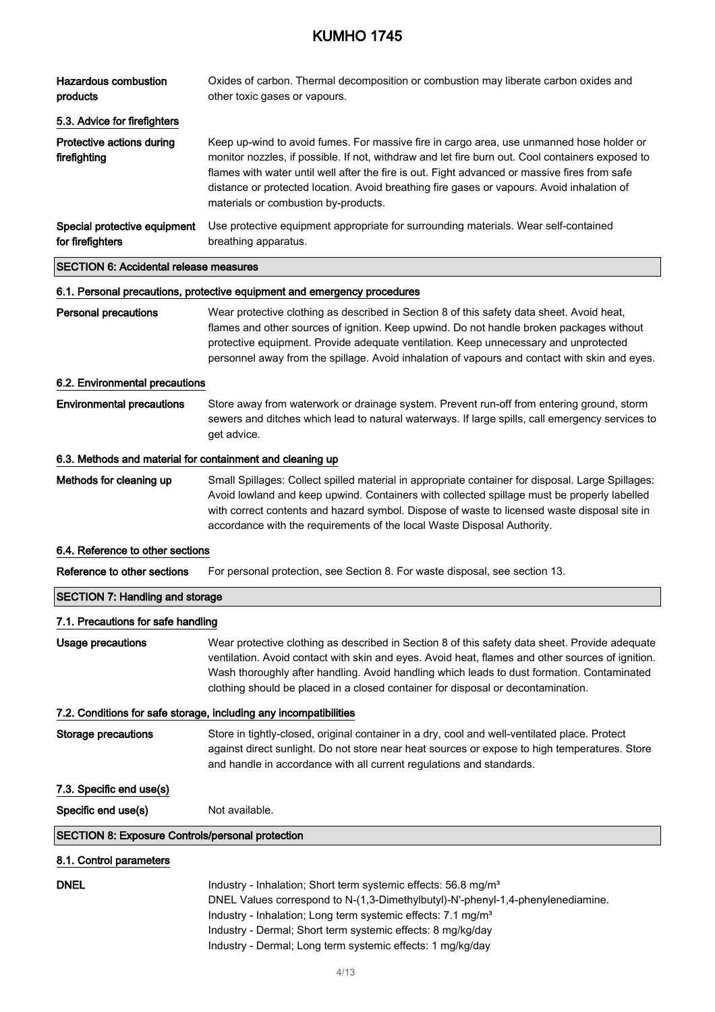| <b>Hazardous combustion</b><br>products                   | Oxides of carbon. Thermal decomposition or combustion may liberate carbon oxides and<br>other toxic gases or vapours.                                                                                                                                                                                                                                                                                                               |
|-----------------------------------------------------------|-------------------------------------------------------------------------------------------------------------------------------------------------------------------------------------------------------------------------------------------------------------------------------------------------------------------------------------------------------------------------------------------------------------------------------------|
| 5.3. Advice for firefighters                              |                                                                                                                                                                                                                                                                                                                                                                                                                                     |
| Protective actions during<br>firefighting                 | Keep up-wind to avoid fumes. For massive fire in cargo area, use unmanned hose holder or<br>monitor nozzles, if possible. If not, withdraw and let fire burn out. Cool containers exposed to<br>flames with water until well after the fire is out. Fight advanced or massive fires from safe<br>distance or protected location. Avoid breathing fire gases or vapours. Avoid inhalation of<br>materials or combustion by-products. |
| Special protective equipment<br>for firefighters          | Use protective equipment appropriate for surrounding materials. Wear self-contained<br>breathing apparatus.                                                                                                                                                                                                                                                                                                                         |
| <b>SECTION 6: Accidental release measures</b>             |                                                                                                                                                                                                                                                                                                                                                                                                                                     |
|                                                           | 6.1. Personal precautions, protective equipment and emergency procedures                                                                                                                                                                                                                                                                                                                                                            |
| <b>Personal precautions</b>                               | Wear protective clothing as described in Section 8 of this safety data sheet. Avoid heat,<br>flames and other sources of ignition. Keep upwind. Do not handle broken packages without<br>protective equipment. Provide adequate ventilation. Keep unnecessary and unprotected<br>personnel away from the spillage. Avoid inhalation of vapours and contact with skin and eyes.                                                      |
| 6.2. Environmental precautions                            |                                                                                                                                                                                                                                                                                                                                                                                                                                     |
| <b>Environmental precautions</b>                          | Store away from waterwork or drainage system. Prevent run-off from entering ground, storm<br>sewers and ditches which lead to natural waterways. If large spills, call emergency services to<br>get advice.                                                                                                                                                                                                                         |
| 6.3. Methods and material for containment and cleaning up |                                                                                                                                                                                                                                                                                                                                                                                                                                     |
| Methods for cleaning up                                   | Small Spillages: Collect spilled material in appropriate container for disposal. Large Spillages:<br>Avoid lowland and keep upwind. Containers with collected spillage must be properly labelled<br>with correct contents and hazard symbol. Dispose of waste to licensed waste disposal site in<br>accordance with the requirements of the local Waste Disposal Authority.                                                         |
| 6.4. Reference to other sections                          |                                                                                                                                                                                                                                                                                                                                                                                                                                     |
| Reference to other sections                               | For personal protection, see Section 8. For waste disposal, see section 13.                                                                                                                                                                                                                                                                                                                                                         |
| <b>SECTION 7: Handling and storage</b>                    |                                                                                                                                                                                                                                                                                                                                                                                                                                     |
| 7.1. Precautions for safe handling                        |                                                                                                                                                                                                                                                                                                                                                                                                                                     |
| <b>Usage precautions</b>                                  | Wear protective clothing as described in Section 8 of this safety data sheet. Provide adequate<br>ventilation. Avoid contact with skin and eyes. Avoid heat, flames and other sources of ignition.<br>Wash thoroughly after handling. Avoid handling which leads to dust formation. Contaminated<br>clothing should be placed in a closed container for disposal or decontamination.                                                |
|                                                           | 7.2. Conditions for safe storage, including any incompatibilities                                                                                                                                                                                                                                                                                                                                                                   |
| <b>Storage precautions</b>                                | Store in tightly-closed, original container in a dry, cool and well-ventilated place. Protect<br>against direct sunlight. Do not store near heat sources or expose to high temperatures. Store<br>and handle in accordance with all current regulations and standards.                                                                                                                                                              |
| 7.3. Specific end use(s)                                  |                                                                                                                                                                                                                                                                                                                                                                                                                                     |
| Specific end use(s)                                       | Not available.                                                                                                                                                                                                                                                                                                                                                                                                                      |
| <b>SECTION 8: Exposure Controls/personal protection</b>   |                                                                                                                                                                                                                                                                                                                                                                                                                                     |
| 8.1. Control parameters                                   |                                                                                                                                                                                                                                                                                                                                                                                                                                     |
| <b>DNEL</b>                                               | Industry - Inhalation; Short term systemic effects: 56.8 mg/m <sup>3</sup><br>DNEL Values correspond to N-(1,3-Dimethylbutyl)-N'-phenyl-1,4-phenylenediamine.<br>Industry - Inhalation; Long term systemic effects: 7.1 mg/m <sup>3</sup><br>Industry - Dermal; Short term systemic effects: 8 mg/kg/day<br>Industry - Dermal; Long term systemic effects: 1 mg/kg/day                                                              |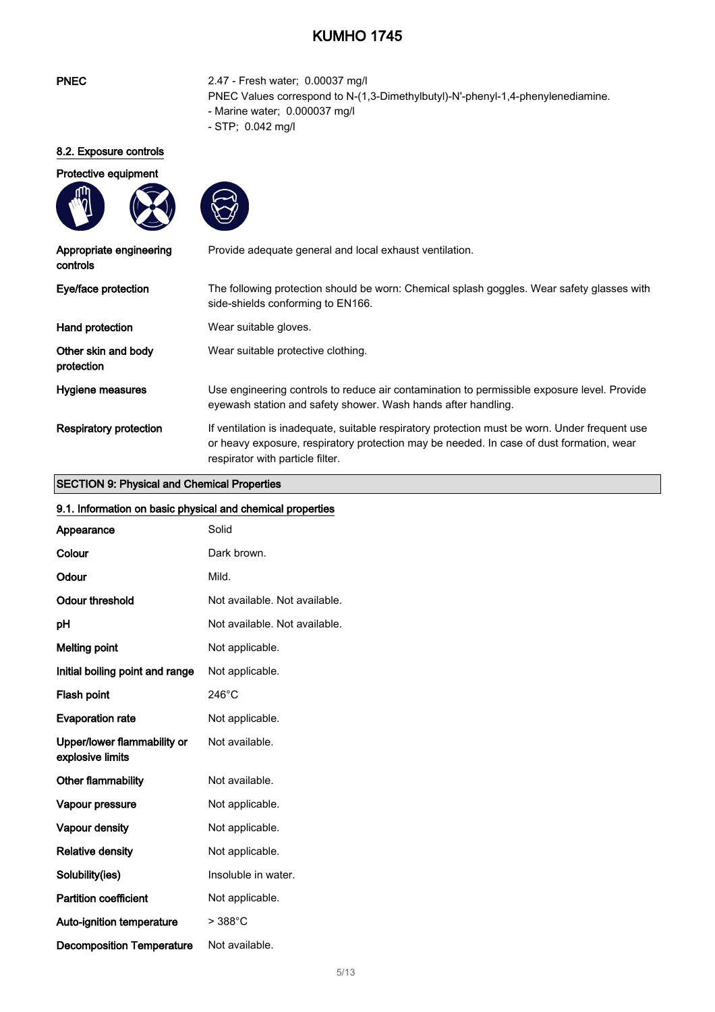| <b>PNEC</b>                                        | 2.47 - Fresh water; 0.00037 mg/l<br>PNEC Values correspond to N-(1,3-Dimethylbutyl)-N'-phenyl-1,4-phenylenediamine.<br>- Marine water; 0.000037 mg/l<br>- STP; 0.042 mg/l                                                      |
|----------------------------------------------------|--------------------------------------------------------------------------------------------------------------------------------------------------------------------------------------------------------------------------------|
| 8.2. Exposure controls                             |                                                                                                                                                                                                                                |
| Protective equipment                               |                                                                                                                                                                                                                                |
| Appropriate engineering<br>controls                | Provide adequate general and local exhaust ventilation.                                                                                                                                                                        |
| Eye/face protection                                | The following protection should be worn: Chemical splash goggles. Wear safety glasses with<br>side-shields conforming to EN166.                                                                                                |
| Hand protection                                    | Wear suitable gloves.                                                                                                                                                                                                          |
| Other skin and body<br>protection                  | Wear suitable protective clothing.                                                                                                                                                                                             |
| Hygiene measures                                   | Use engineering controls to reduce air contamination to permissible exposure level. Provide<br>eyewash station and safety shower. Wash hands after handling.                                                                   |
| <b>Respiratory protection</b>                      | If ventilation is inadequate, suitable respiratory protection must be worn. Under frequent use<br>or heavy exposure, respiratory protection may be needed. In case of dust formation, wear<br>respirator with particle filter. |
| <b>SECTION 9: Physical and Chemical Properties</b> |                                                                                                                                                                                                                                |

#### SECTION 9: Physical and Chemical Properties

| SECTION 9: Physical and Chemical Properties                |                               |
|------------------------------------------------------------|-------------------------------|
| 9.1. Information on basic physical and chemical properties |                               |
| Appearance                                                 | Solid                         |
| Colour                                                     | Dark brown.                   |
| Odour                                                      | Mild.                         |
| <b>Odour threshold</b>                                     | Not available. Not available. |
| pH                                                         | Not available. Not available. |
| <b>Melting point</b>                                       | Not applicable.               |
| Initial boiling point and range                            | Not applicable.               |
| Flash point                                                | $246^{\circ}$ C               |
| <b>Evaporation rate</b>                                    | Not applicable.               |
| Upper/lower flammability or<br>explosive limits            | Not available.                |
| Other flammability                                         | Not available.                |
| Vapour pressure                                            | Not applicable.               |
| Vapour density                                             | Not applicable.               |
| <b>Relative density</b>                                    | Not applicable.               |
| Solubility(ies)                                            | Insoluble in water.           |
| <b>Partition coefficient</b>                               | Not applicable.               |
| Auto-ignition temperature                                  | $>388^{\circ}$ C              |
| <b>Decomposition Temperature</b>                           | Not available.                |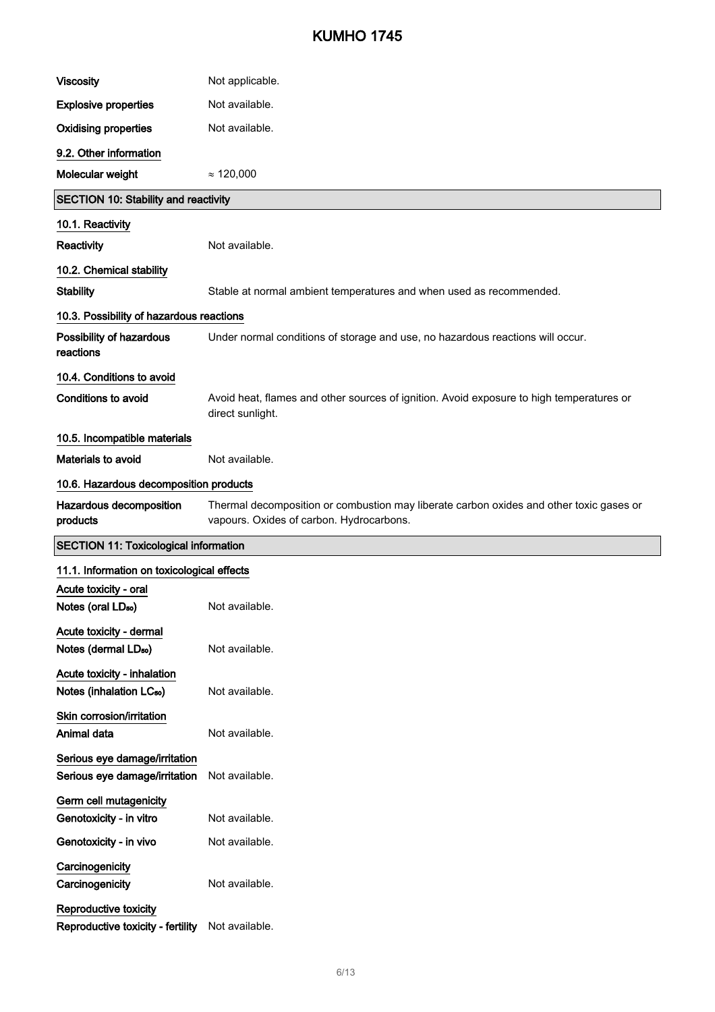| <b>Viscosity</b>                                                    | Not applicable.                                                                                                                     |
|---------------------------------------------------------------------|-------------------------------------------------------------------------------------------------------------------------------------|
| <b>Explosive properties</b>                                         | Not available.                                                                                                                      |
| <b>Oxidising properties</b>                                         | Not available.                                                                                                                      |
| 9.2. Other information                                              |                                                                                                                                     |
| Molecular weight                                                    | $\approx 120,000$                                                                                                                   |
| <b>SECTION 10: Stability and reactivity</b>                         |                                                                                                                                     |
| 10.1. Reactivity                                                    |                                                                                                                                     |
| Reactivity                                                          | Not available.                                                                                                                      |
| 10.2. Chemical stability                                            |                                                                                                                                     |
| <b>Stability</b>                                                    | Stable at normal ambient temperatures and when used as recommended.                                                                 |
| 10.3. Possibility of hazardous reactions                            |                                                                                                                                     |
| Possibility of hazardous<br>reactions                               | Under normal conditions of storage and use, no hazardous reactions will occur.                                                      |
| 10.4. Conditions to avoid                                           |                                                                                                                                     |
| Conditions to avoid                                                 | Avoid heat, flames and other sources of ignition. Avoid exposure to high temperatures or<br>direct sunlight.                        |
| 10.5. Incompatible materials                                        |                                                                                                                                     |
| Materials to avoid                                                  | Not available.                                                                                                                      |
| 10.6. Hazardous decomposition products                              |                                                                                                                                     |
| Hazardous decomposition<br>products                                 | Thermal decomposition or combustion may liberate carbon oxides and other toxic gases or<br>vapours. Oxides of carbon. Hydrocarbons. |
| <b>SECTION 11: Toxicological information</b>                        |                                                                                                                                     |
| 11.1. Information on toxicological effects                          |                                                                                                                                     |
| Acute toxicity - oral<br>Notes (oral LD <sub>50</sub> )             | Not available.                                                                                                                      |
| Acute toxicity - dermal<br>Notes (dermal LD <sub>50</sub> )         | Not available.                                                                                                                      |
| Acute toxicity - inhalation<br>Notes (inhalation LC <sub>50</sub> ) | Not available.                                                                                                                      |
| Skin corrosion/irritation<br>Animal data                            | Not available.                                                                                                                      |
| Serious eye damage/irritation<br>Serious eye damage/irritation      | Not available.                                                                                                                      |
| Germ cell mutagenicity<br>Genotoxicity - in vitro                   | Not available.                                                                                                                      |
| Genotoxicity - in vivo                                              | Not available.                                                                                                                      |
| Carcinogenicity<br>Carcinogenicity                                  |                                                                                                                                     |
|                                                                     | Not available.                                                                                                                      |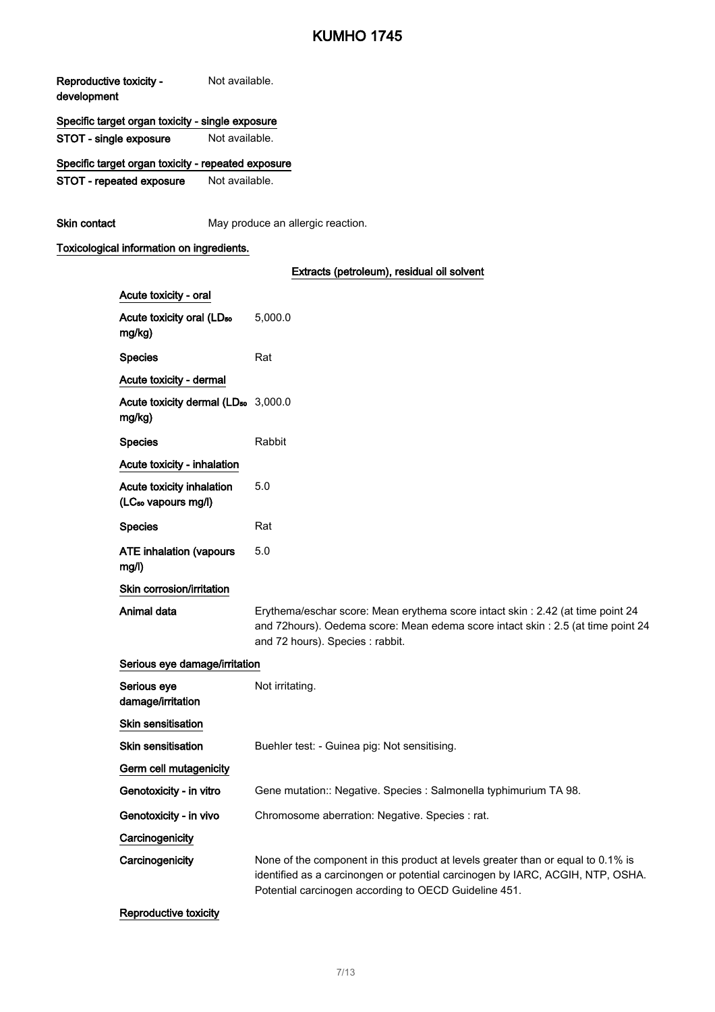Reproductive toxicity development Not available.

### Specific target organ toxicity - single exposure

STOT - single exposure Not available.

Specific target organ toxicity - repeated exposure

STOT - repeated exposure Not available.

Skin contact May produce an allergic reaction.

### Toxicological information on ingredients.

### Extracts (petroleum), residual oil solvent

| Acute toxicity - oral                                        |                                                                                                                                                                                                                             |
|--------------------------------------------------------------|-----------------------------------------------------------------------------------------------------------------------------------------------------------------------------------------------------------------------------|
| Acute toxicity oral (LD <sub>50</sub><br>mg/kg)              | 5,000.0                                                                                                                                                                                                                     |
| <b>Species</b>                                               | Rat                                                                                                                                                                                                                         |
| Acute toxicity - dermal                                      |                                                                                                                                                                                                                             |
| Acute toxicity dermal (LD <sub>50</sub> 3,000.0<br>mg/kg)    |                                                                                                                                                                                                                             |
| <b>Species</b>                                               | Rabbit                                                                                                                                                                                                                      |
| Acute toxicity - inhalation                                  |                                                                                                                                                                                                                             |
| Acute toxicity inhalation<br>(LC <sub>50</sub> vapours mg/l) | 5.0                                                                                                                                                                                                                         |
| <b>Species</b>                                               | Rat                                                                                                                                                                                                                         |
| <b>ATE inhalation (vapours</b><br>mg/l)                      | 5.0                                                                                                                                                                                                                         |
| Skin corrosion/irritation                                    |                                                                                                                                                                                                                             |
| Animal data                                                  | Erythema/eschar score: Mean erythema score intact skin : 2.42 (at time point 24<br>and 72hours). Oedema score: Mean edema score intact skin : 2.5 (at time point 24<br>and 72 hours). Species : rabbit.                     |
| Serious eye damage/irritation                                |                                                                                                                                                                                                                             |
| Serious eye<br>damage/irritation                             | Not irritating.                                                                                                                                                                                                             |
| <b>Skin sensitisation</b>                                    |                                                                                                                                                                                                                             |
| <b>Skin sensitisation</b>                                    | Buehler test: - Guinea pig: Not sensitising.                                                                                                                                                                                |
| Germ cell mutagenicity                                       |                                                                                                                                                                                                                             |
| Genotoxicity - in vitro                                      | Gene mutation:: Negative. Species : Salmonella typhimurium TA 98.                                                                                                                                                           |
| Genotoxicity - in vivo                                       | Chromosome aberration: Negative. Species : rat.                                                                                                                                                                             |
| Carcinogenicity                                              |                                                                                                                                                                                                                             |
| Carcinogenicity                                              | None of the component in this product at levels greater than or equal to 0.1% is<br>identified as a carcinongen or potential carcinogen by IARC, ACGIH, NTP, OSHA.<br>Potential carcinogen according to OECD Guideline 451. |
|                                                              |                                                                                                                                                                                                                             |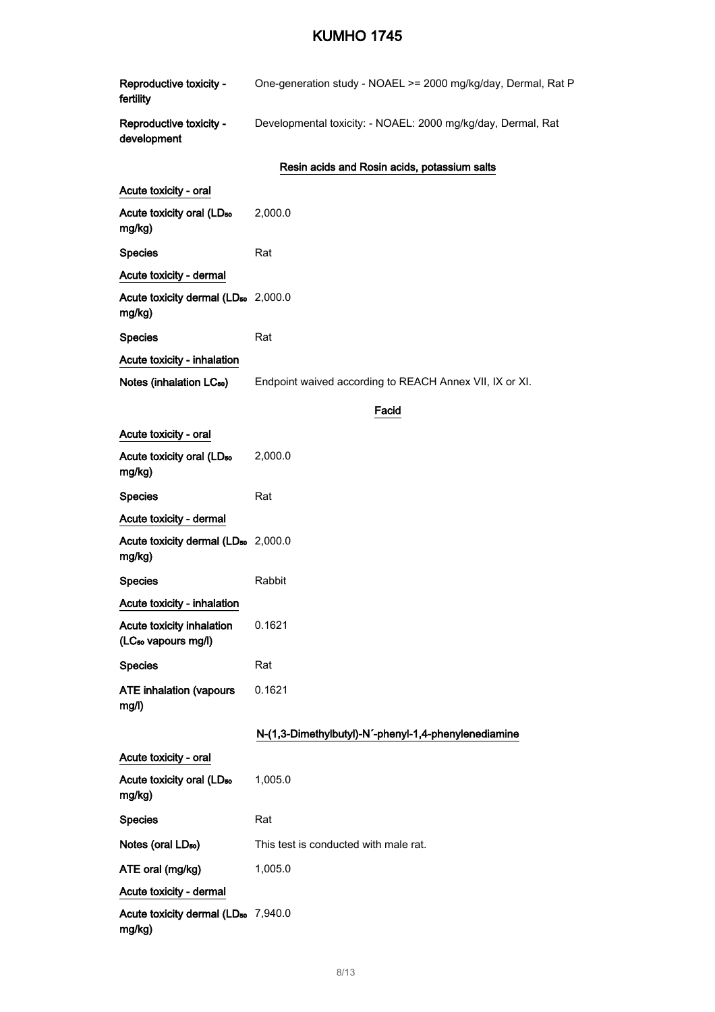| Reproductive toxicity -<br>fertility                                | One-generation study - NOAEL >= 2000 mg/kg/day, Dermal, Rat P |
|---------------------------------------------------------------------|---------------------------------------------------------------|
| Reproductive toxicity -<br>development                              | Developmental toxicity: - NOAEL: 2000 mg/kg/day, Dermal, Rat  |
|                                                                     | Resin acids and Rosin acids, potassium salts                  |
| Acute toxicity - oral                                               |                                                               |
| Acute toxicity oral (LD <sub>50</sub><br>mg/kg)                     | 2,000.0                                                       |
| <b>Species</b>                                                      | Rat                                                           |
| Acute toxicity - dermal                                             |                                                               |
| Acute toxicity dermal (LD <sub>50</sub> 2,000.0<br>mg/kg)           |                                                               |
| <b>Species</b>                                                      | Rat                                                           |
| <b>Acute toxicity - inhalation</b>                                  |                                                               |
| Notes (inhalation LC <sub>50</sub> )                                | Endpoint waived according to REACH Annex VII, IX or XI.       |
|                                                                     | Facid                                                         |
| Acute toxicity - oral                                               |                                                               |
| Acute toxicity oral (LD <sub>50</sub><br>mg/kg)                     | 2,000.0                                                       |
| <b>Species</b>                                                      | Rat                                                           |
| Acute toxicity - dermal                                             |                                                               |
| Acute toxicity dermal (LD <sub>50</sub> 2,000.0<br>mg/kg)           |                                                               |
| <b>Species</b>                                                      | Rabbit                                                        |
| <b>Acute toxicity - inhalation</b>                                  |                                                               |
| <b>Acute toxicity inhalation</b><br>(LC <sub>50</sub> vapours mg/l) | 0.1621                                                        |
| <b>Species</b>                                                      | Rat                                                           |
| <b>ATE inhalation (vapours</b><br>mg/l)                             | 0.1621                                                        |
|                                                                     | N-(1,3-Dimethylbutyl)-N'-phenyl-1,4-phenylenediamine          |
| Acute toxicity - oral                                               |                                                               |
| Acute toxicity oral (LD <sub>50</sub><br>mg/kg)                     | 1,005.0                                                       |
| <b>Species</b>                                                      | Rat                                                           |
| Notes (oral LD <sub>50</sub> )                                      | This test is conducted with male rat.                         |
| ATE oral (mg/kg)                                                    | 1,005.0                                                       |
| Acute toxicity - dermal                                             |                                                               |
| Acute toxicity dermal (LD <sub>50</sub> 7,940.0<br>mg/kg)           |                                                               |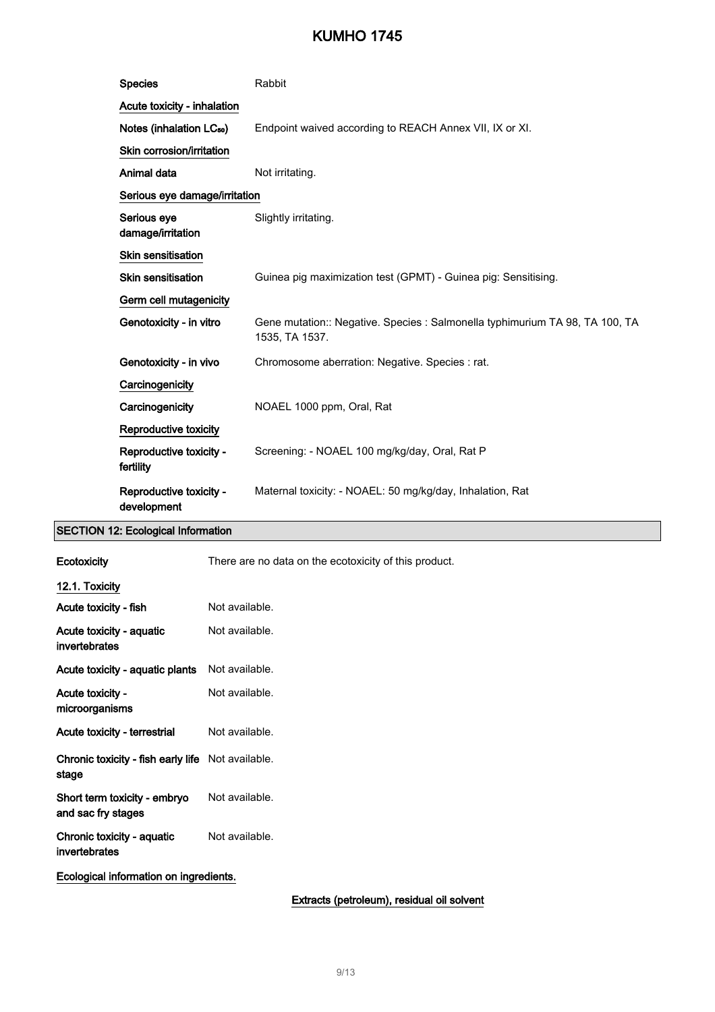| <b>Species</b>                         | Rabbit                                                                                         |
|----------------------------------------|------------------------------------------------------------------------------------------------|
| Acute toxicity - inhalation            |                                                                                                |
| Notes (inhalation LC <sub>50</sub> )   | Endpoint waived according to REACH Annex VII, IX or XI.                                        |
| Skin corrosion/irritation              |                                                                                                |
| Animal data                            | Not irritating.                                                                                |
| Serious eye damage/irritation          |                                                                                                |
| Serious eye<br>damage/irritation       | Slightly irritating.                                                                           |
| <b>Skin sensitisation</b>              |                                                                                                |
| <b>Skin sensitisation</b>              | Guinea pig maximization test (GPMT) - Guinea pig: Sensitising.                                 |
| Germ cell mutagenicity                 |                                                                                                |
| Genotoxicity - in vitro                | Gene mutation:: Negative. Species : Salmonella typhimurium TA 98, TA 100, TA<br>1535, TA 1537. |
| Genotoxicity - in vivo                 | Chromosome aberration: Negative. Species : rat.                                                |
| Carcinogenicity                        |                                                                                                |
| Carcinogenicity                        | NOAEL 1000 ppm, Oral, Rat                                                                      |
| Reproductive toxicity                  |                                                                                                |
| Reproductive toxicity -<br>fertility   | Screening: - NOAEL 100 mg/kg/day, Oral, Rat P                                                  |
| Reproductive toxicity -<br>development | Maternal toxicity: - NOAEL: 50 mg/kg/day, Inhalation, Rat                                      |

### SECTION 12: Ecological Information

| Ecotoxicity                                                       | There are no data on the ecotoxicity of this product. |
|-------------------------------------------------------------------|-------------------------------------------------------|
| 12.1. Toxicity                                                    |                                                       |
| Acute toxicity - fish                                             | Not available.                                        |
| Acute toxicity - aquatic<br>invertebrates                         | Not available.                                        |
| Acute toxicity - aquatic plants                                   | Not available.                                        |
| Acute toxicity -<br>microorganisms                                | Not available.                                        |
| Acute toxicity - terrestrial                                      | Not available.                                        |
| <b>Chronic toxicity - fish early life</b> Not available.<br>stage |                                                       |
| Short term toxicity - embryo<br>and sac fry stages                | Not available.                                        |
| Chronic toxicity - aquatic<br>invertebrates                       | Not available.                                        |
| Ecological information on ingredients.                            |                                                       |

Extracts (petroleum), residual oil solvent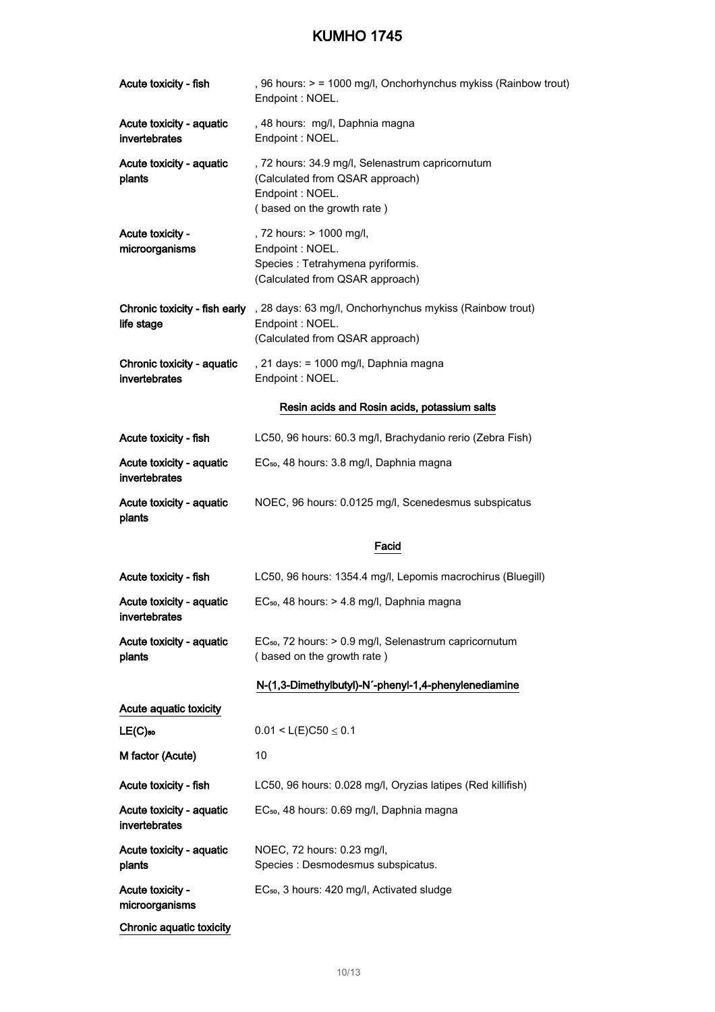| Acute toxicity - fish                       | , 96 hours: > = 1000 mg/l, Onchorhynchus mykiss (Rainbow trout)<br>Endpoint: NOEL.                                                            |
|---------------------------------------------|-----------------------------------------------------------------------------------------------------------------------------------------------|
| Acute toxicity - aquatic<br>invertebrates   | , 48 hours: mg/l, Daphnia magna<br>Endpoint: NOEL.                                                                                            |
| Acute toxicity - aquatic<br>plants          | , 72 hours: 34.9 mg/l, Selenastrum capricornutum<br>(Calculated from QSAR approach)<br>Endpoint : NOEL.<br>(based on the growth rate)         |
| Acute toxicity -<br>microorganisms          | , 72 hours: > 1000 mg/l,<br>Endpoint : NOEL.<br>Species : Tetrahymena pyriformis.<br>(Calculated from QSAR approach)                          |
| life stage                                  | Chronic toxicity - fish early , 28 days: 63 mg/l, Onchorhynchus mykiss (Rainbow trout)<br>Endpoint : NOEL.<br>(Calculated from QSAR approach) |
| Chronic toxicity - aquatic<br>invertebrates | , 21 days: = 1000 mg/l, Daphnia magna<br>Endpoint : NOEL.                                                                                     |
|                                             | Resin acids and Rosin acids, potassium salts                                                                                                  |
| Acute toxicity - fish                       | LC50, 96 hours: 60.3 mg/l, Brachydanio rerio (Zebra Fish)                                                                                     |
| Acute toxicity - aquatic<br>invertebrates   | EC <sub>50</sub> , 48 hours: 3.8 mg/l, Daphnia magna                                                                                          |
| Acute toxicity - aquatic<br>plants          | NOEC, 96 hours: 0.0125 mg/l, Scenedesmus subspicatus                                                                                          |
|                                             | Facid                                                                                                                                         |
| Acute toxicity - fish                       | LC50, 96 hours: 1354.4 mg/l, Lepomis macrochirus (Bluegill)                                                                                   |
| Acute toxicity - aquatic<br>invertebrates   | EC <sub>50</sub> , 48 hours: > 4.8 mg/l, Daphnia magna                                                                                        |
| Acute toxicity - aquatic<br>plants          | EC <sub>50</sub> , 72 hours: > 0.9 mg/l, Selenastrum capricornutum<br>(based on the growth rate)                                              |
|                                             | N-(1,3-Dimethylbutyl)-N'-phenyl-1,4-phenylenediamine                                                                                          |
| Acute aquatic toxicity                      |                                                                                                                                               |
| $LE(C)$ <sub>50</sub>                       | $0.01 < L(E)C50 \le 0.1$                                                                                                                      |
| M factor (Acute)                            | 10                                                                                                                                            |
| Acute toxicity - fish                       | LC50, 96 hours: 0.028 mg/l, Oryzias latipes (Red killifish)                                                                                   |
| Acute toxicity - aquatic<br>invertebrates   | EC <sub>50</sub> , 48 hours: 0.69 mg/l, Daphnia magna                                                                                         |
| Acute toxicity - aquatic<br>plants          | NOEC, 72 hours: 0.23 mg/l,<br>Species : Desmodesmus subspicatus.                                                                              |
| Acute toxicity -<br>microorganisms          | EC <sub>50</sub> , 3 hours: 420 mg/l, Activated sludge                                                                                        |
| Chronic aquatic toxicity                    |                                                                                                                                               |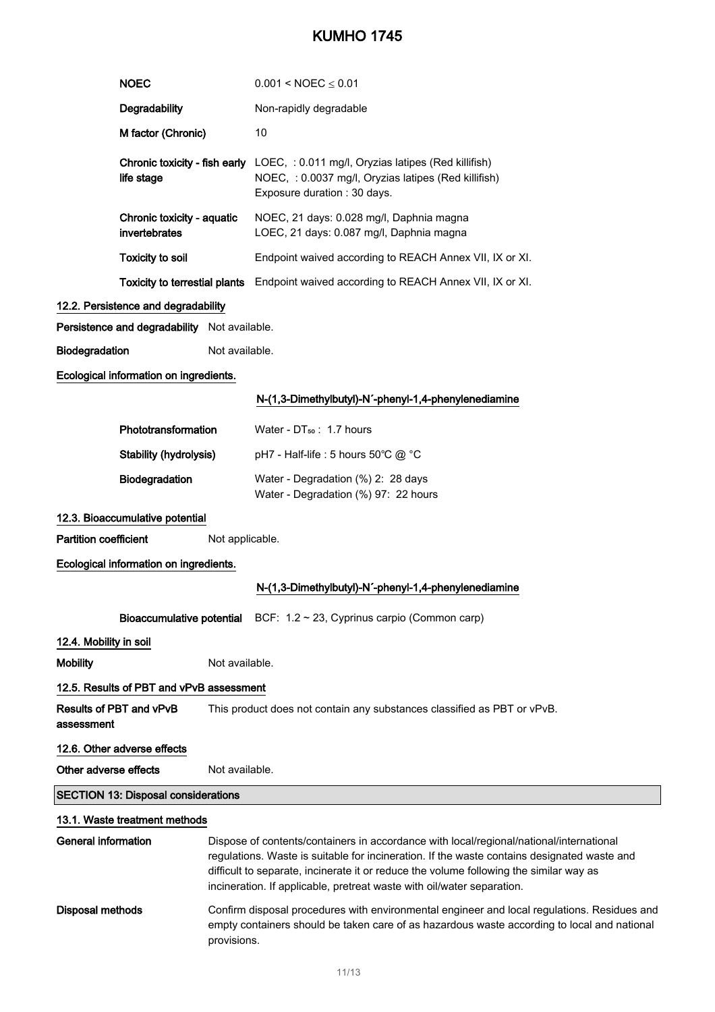|                                            | <b>NOEC</b>                                  |                 | $0.001 < \text{NOEC} \leq 0.01$                                                                                                                                                                                                                                                                                                                            |  |
|--------------------------------------------|----------------------------------------------|-----------------|------------------------------------------------------------------------------------------------------------------------------------------------------------------------------------------------------------------------------------------------------------------------------------------------------------------------------------------------------------|--|
|                                            | Degradability                                |                 | Non-rapidly degradable                                                                                                                                                                                                                                                                                                                                     |  |
|                                            | M factor (Chronic)                           |                 | 10                                                                                                                                                                                                                                                                                                                                                         |  |
|                                            | life stage                                   |                 | <b>Chronic toxicity - fish early</b> LOEC, : 0.011 mg/l, Oryzias latipes (Red killifish)<br>NOEC, : 0.0037 mg/l, Oryzias latipes (Red killifish)<br>Exposure duration : 30 days.                                                                                                                                                                           |  |
|                                            | Chronic toxicity - aquatic<br>invertebrates  |                 | NOEC, 21 days: 0.028 mg/l, Daphnia magna<br>LOEC, 21 days: 0.087 mg/l, Daphnia magna                                                                                                                                                                                                                                                                       |  |
|                                            | <b>Toxicity to soil</b>                      |                 | Endpoint waived according to REACH Annex VII, IX or XI.                                                                                                                                                                                                                                                                                                    |  |
|                                            |                                              |                 | Toxicity to terrestial plants Endpoint waived according to REACH Annex VII, IX or XI.                                                                                                                                                                                                                                                                      |  |
|                                            | 12.2. Persistence and degradability          |                 |                                                                                                                                                                                                                                                                                                                                                            |  |
|                                            | Persistence and degradability Not available. |                 |                                                                                                                                                                                                                                                                                                                                                            |  |
| Biodegradation                             |                                              | Not available.  |                                                                                                                                                                                                                                                                                                                                                            |  |
|                                            | Ecological information on ingredients.       |                 |                                                                                                                                                                                                                                                                                                                                                            |  |
|                                            |                                              |                 | N-(1,3-Dimethylbutyl)-N'-phenyl-1,4-phenylenediamine                                                                                                                                                                                                                                                                                                       |  |
|                                            | Phototransformation                          |                 | Water - DT <sub>50</sub> : 1.7 hours                                                                                                                                                                                                                                                                                                                       |  |
|                                            | <b>Stability (hydrolysis)</b>                |                 | pH7 - Half-life : 5 hours 50°C @ °C                                                                                                                                                                                                                                                                                                                        |  |
|                                            | Biodegradation                               |                 | Water - Degradation (%) 2: 28 days<br>Water - Degradation (%) 97: 22 hours                                                                                                                                                                                                                                                                                 |  |
|                                            | 12.3. Bioaccumulative potential              |                 |                                                                                                                                                                                                                                                                                                                                                            |  |
| <b>Partition coefficient</b>               |                                              | Not applicable. |                                                                                                                                                                                                                                                                                                                                                            |  |
|                                            | Ecological information on ingredients.       |                 |                                                                                                                                                                                                                                                                                                                                                            |  |
|                                            |                                              |                 | N-(1,3-Dimethylbutyl)-N'-phenyl-1,4-phenylenediamine                                                                                                                                                                                                                                                                                                       |  |
|                                            |                                              |                 | <b>Bioaccumulative potential</b> BCF: $1.2 \sim 23$ , Cyprinus carpio (Common carp)                                                                                                                                                                                                                                                                        |  |
| 12.4. Mobility in soil                     |                                              |                 |                                                                                                                                                                                                                                                                                                                                                            |  |
| <b>Mobility</b>                            |                                              | Not available.  |                                                                                                                                                                                                                                                                                                                                                            |  |
|                                            | 12.5. Results of PBT and vPvB assessment     |                 |                                                                                                                                                                                                                                                                                                                                                            |  |
| assessment                                 | Results of PBT and vPvB                      |                 | This product does not contain any substances classified as PBT or vPvB.                                                                                                                                                                                                                                                                                    |  |
|                                            | 12.6. Other adverse effects                  |                 |                                                                                                                                                                                                                                                                                                                                                            |  |
| Other adverse effects                      |                                              | Not available.  |                                                                                                                                                                                                                                                                                                                                                            |  |
| <b>SECTION 13: Disposal considerations</b> |                                              |                 |                                                                                                                                                                                                                                                                                                                                                            |  |
|                                            | 13.1. Waste treatment methods                |                 |                                                                                                                                                                                                                                                                                                                                                            |  |
| <b>General information</b>                 |                                              |                 | Dispose of contents/containers in accordance with local/regional/national/international<br>regulations. Waste is suitable for incineration. If the waste contains designated waste and<br>difficult to separate, incinerate it or reduce the volume following the similar way as<br>incineration. If applicable, pretreat waste with oil/water separation. |  |
| <b>Disposal methods</b><br>provisions.     |                                              |                 | Confirm disposal procedures with environmental engineer and local regulations. Residues and<br>empty containers should be taken care of as hazardous waste according to local and national                                                                                                                                                                 |  |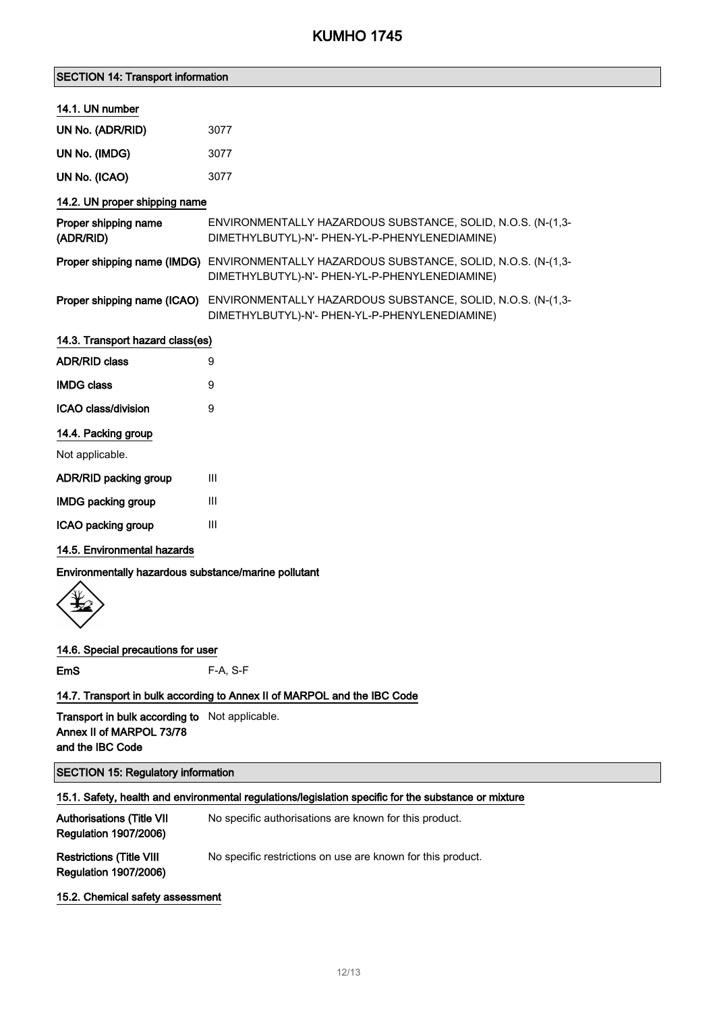| <b>SECTION 14: Transport information</b> |  |  |
|------------------------------------------|--|--|
|------------------------------------------|--|--|

#### 14.1. UN number

| UN No. (ADR/RID) | 3077 |
|------------------|------|
| UN No. (IMDG)    | 3077 |
| UN No. (ICAO)    | 3077 |

### 14.2. UN proper shipping name

| Proper shipping name<br>(ADR/RID) | ENVIRONMENTALLY HAZARDOUS SUBSTANCE, SOLID, N.O.S. (N-(1,3-<br>DIMETHYLBUTYL)-N'- PHEN-YL-P-PHENYLENEDIAMINE)                             |
|-----------------------------------|-------------------------------------------------------------------------------------------------------------------------------------------|
|                                   | Proper shipping name (IMDG) ENVIRONMENTALLY HAZARDOUS SUBSTANCE, SOLID, N.O.S. (N-(1,3-<br>DIMETHYLBUTYL)-N'- PHEN-YL-P-PHENYLENEDIAMINE) |
|                                   | Proper shipping name (ICAO) ENVIRONMENTALLY HAZARDOUS SUBSTANCE, SOLID, N.O.S. (N-(1,3-                                                   |

DIMETHYLBUTYL)-N'- PHEN-YL-P-PHENYLENEDIAMINE)

| 14.3. Transport hazard class(es)  |   |
|-----------------------------------|---|
| <b>ADR/RID class</b>              | 9 |
| <b>IMDG class</b>                 | 9 |
| ICAO class/division<br>9          |   |
| 14.4. Packing group               |   |
| Not applicable.                   |   |
| <b>ADR/RID packing group</b><br>Ш |   |
|                                   |   |

ICAO packing group III

#### 14.5. Environmental hazards

Environmentally hazardous substance/marine pollutant



#### 14.6. Special precautions for user

EmS F-A, S-F

### 14.7. Transport in bulk according to Annex II of MARPOL and the IBC Code

Transport in bulk according to Not applicable. Annex II of MARPOL 73/78 and the IBC Code

### SECTION 15: Regulatory information

| 15.1. Safety, health and environmental regulations/legislation specific for the substance or mixture |                                                             |  |
|------------------------------------------------------------------------------------------------------|-------------------------------------------------------------|--|
| <b>Authorisations (Title VII)</b><br><b>Regulation 1907/2006)</b>                                    | No specific authorisations are known for this product.      |  |
| <b>Restrictions (Title VIII</b><br><b>Regulation 1907/2006)</b>                                      | No specific restrictions on use are known for this product. |  |
| 15.2. Chemical safety assessment                                                                     |                                                             |  |